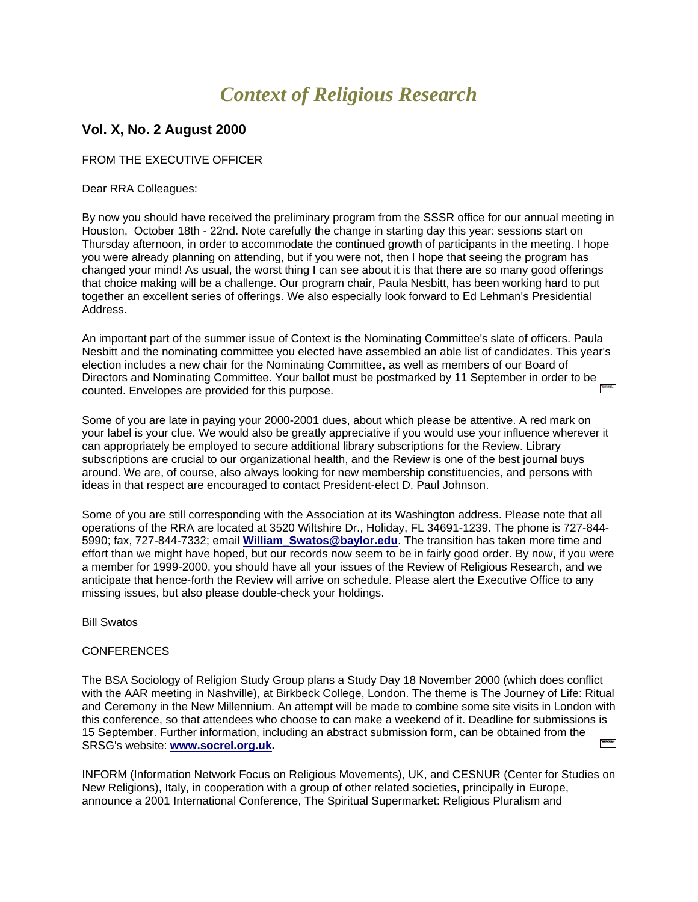# *Context of Religious Research*

## **Vol. X, No. 2 August 2000**

FROM THE EXECUTIVE OFFICER

Dear RRA Colleagues:

By now you should have received the preliminary program from the SSSR office for our annual meeting in Houston, October 18th - 22nd. Note carefully the change in starting day this year: sessions start on Thursday afternoon, in order to accommodate the continued growth of participants in the meeting. I hope you were already planning on attending, but if you were not, then I hope that seeing the program has changed your mind! As usual, the worst thing I can see about it is that there are so many good offerings that choice making will be a challenge. Our program chair, Paula Nesbitt, has been working hard to put together an excellent series of offerings. We also especially look forward to Ed Lehman's Presidential Address.

An important part of the summer issue of Context is the Nominating Committee's slate of officers. Paula Nesbitt and the nominating committee you elected have assembled an able list of candidates. This year's election includes a new chair for the Nominating Committee, as well as members of our Board of Directors and Nominating Committee. Your ballot must be postmarked by 11 September in order to be counted. Envelopes are provided for this purpose.

Some of you are late in paying your 2000-2001 dues, about which please be attentive. A red mark on your label is your clue. We would also be greatly appreciative if you would use your influence wherever it can appropriately be employed to secure additional library subscriptions for the Review. Library subscriptions are crucial to our organizational health, and the Review is one of the best journal buys around. We are, of course, also always looking for new membership constituencies, and persons with ideas in that respect are encouraged to contact President-elect D. Paul Johnson.

Some of you are still corresponding with the Association at its Washington address. Please note that all operations of the RRA are located at 3520 Wiltshire Dr., Holiday, FL 34691-1239. The phone is 727-844- 5990; fax, 727-844-7332; email **[William\\_Swatos@baylor.edu](mailto:William_Swatos@baylor.edu)**. The transition has taken more time and effort than we might have hoped, but our records now seem to be in fairly good order. By now, if you were a member for 1999-2000, you should have all your issues of the Review of Religious Research, and we anticipate that hence-forth the Review will arrive on schedule. Please alert the Executive Office to any missing issues, but also please double-check your holdings.

Bill Swatos

## **CONFERENCES**

The BSA Sociology of Religion Study Group plans a Study Day 18 November 2000 (which does conflict with the AAR meeting in Nashville), at Birkbeck College, London. The theme is The Journey of Life: Ritual and Ceremony in the New Millennium. An attempt will be made to combine some site visits in London with this conference, so that attendees who choose to can make a weekend of it. Deadline for submissions is 15 September. Further information, including an abstract submission form, can be obtained from the **Property** SRSG's website: **[www.socrel.org.uk.](http://www.socrel.org.uk/)**

INFORM (Information Network Focus on Religious Movements), UK, and CESNUR (Center for Studies on New Religions), Italy, in cooperation with a group of other related societies, principally in Europe, announce a 2001 International Conference, The Spiritual Supermarket: Religious Pluralism and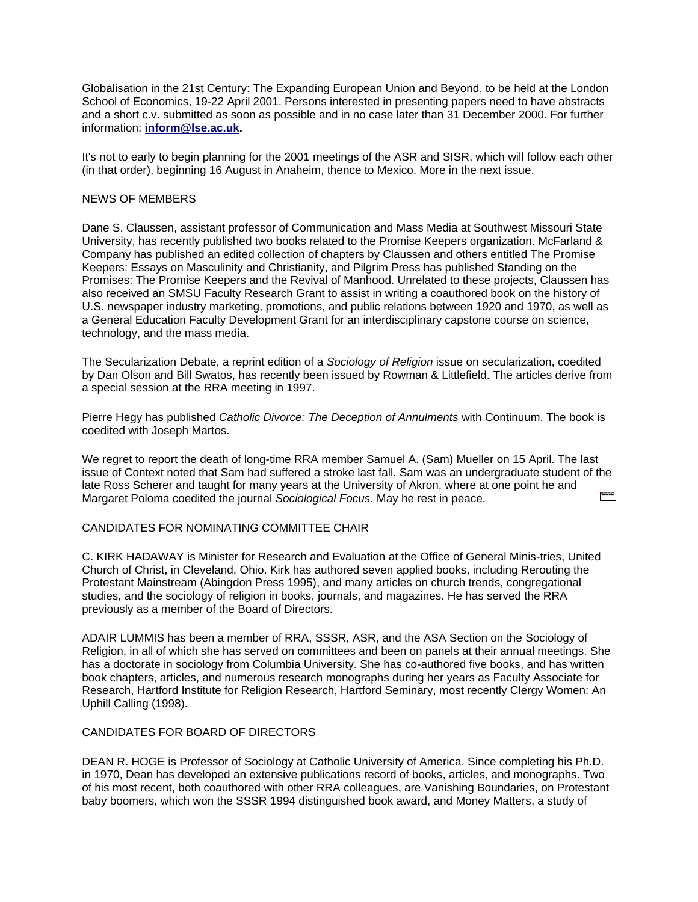Globalisation in the 21st Century: The Expanding European Union and Beyond, to be held at the London School of Economics, 19-22 April 2001. Persons interested in presenting papers need to have abstracts and a short c.v. submitted as soon as possible and in no case later than 31 December 2000. For further information: **[inform@lse.ac.uk.](mailto:inform@lse.ac.uk)**

It's not to early to begin planning for the 2001 meetings of the ASR and SISR, which will follow each other (in that order), beginning 16 August in Anaheim, thence to Mexico. More in the next issue.

#### NEWS OF MEMBERS

Dane S. Claussen, assistant professor of Communication and Mass Media at Southwest Missouri State University, has recently published two books related to the Promise Keepers organization. McFarland & Company has published an edited collection of chapters by Claussen and others entitled The Promise Keepers: Essays on Masculinity and Christianity, and Pilgrim Press has published Standing on the Promises: The Promise Keepers and the Revival of Manhood. Unrelated to these projects, Claussen has also received an SMSU Faculty Research Grant to assist in writing a coauthored book on the history of U.S. newspaper industry marketing, promotions, and public relations between 1920 and 1970, as well as a General Education Faculty Development Grant for an interdisciplinary capstone course on science, technology, and the mass media.

The Secularization Debate, a reprint edition of a *Sociology of Religion* issue on secularization, coedited by Dan Olson and Bill Swatos, has recently been issued by Rowman & Littlefield. The articles derive from a special session at the RRA meeting in 1997.

Pierre Hegy has published *Catholic Divorce: The Deception of Annulments* with Continuum. The book is coedited with Joseph Martos.

We regret to report the death of long-time RRA member Samuel A. (Sam) Mueller on 15 April. The last issue of Context noted that Sam had suffered a stroke last fall. Sam was an undergraduate student of the late Ross Scherer and taught for many years at the University of Akron, where at one point he and Margaret Poloma coedited the journal *Sociological Focus*. May he rest in peace.

## CANDIDATES FOR NOMINATING COMMITTEE CHAIR

C. KIRK HADAWAY is Minister for Research and Evaluation at the Office of General Minis-tries, United Church of Christ, in Cleveland, Ohio. Kirk has authored seven applied books, including Rerouting the Protestant Mainstream (Abingdon Press 1995), and many articles on church trends, congregational studies, and the sociology of religion in books, journals, and magazines. He has served the RRA previously as a member of the Board of Directors.

ADAIR LUMMIS has been a member of RRA, SSSR, ASR, and the ASA Section on the Sociology of Religion, in all of which she has served on committees and been on panels at their annual meetings. She has a doctorate in sociology from Columbia University. She has co-authored five books, and has written book chapters, articles, and numerous research monographs during her years as Faculty Associate for Research, Hartford Institute for Religion Research, Hartford Seminary, most recently Clergy Women: An Uphill Calling (1998).

### CANDIDATES FOR BOARD OF DIRECTORS

DEAN R. HOGE is Professor of Sociology at Catholic University of America. Since completing his Ph.D. in 1970, Dean has developed an extensive publications record of books, articles, and monographs. Two of his most recent, both coauthored with other RRA colleagues, are Vanishing Boundaries, on Protestant baby boomers, which won the SSSR 1994 distinguished book award, and Money Matters, a study of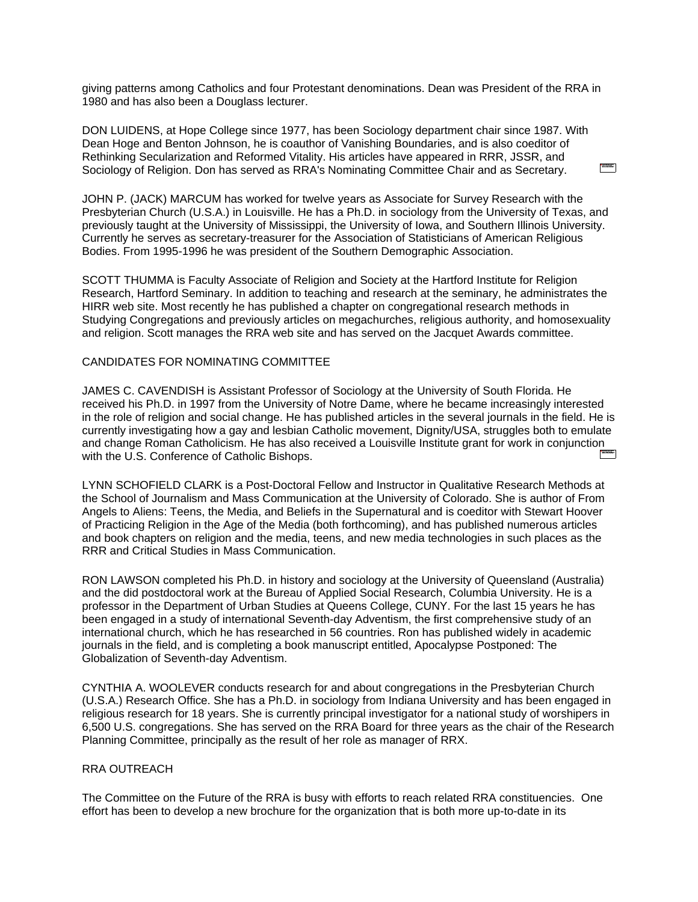giving patterns among Catholics and four Protestant denominations. Dean was President of the RRA in 1980 and has also been a Douglass lecturer.

DON LUIDENS, at Hope College since 1977, has been Sociology department chair since 1987. With Dean Hoge and Benton Johnson, he is coauthor of Vanishing Boundaries, and is also coeditor of Rethinking Secularization and Reformed Vitality. His articles have appeared in RRR, JSSR, and Sociology of Religion. Don has served as RRA's Nominating Committee Chair and as Secretary.

JOHN P. (JACK) MARCUM has worked for twelve years as Associate for Survey Research with the Presbyterian Church (U.S.A.) in Louisville. He has a Ph.D. in sociology from the University of Texas, and previously taught at the University of Mississippi, the University of Iowa, and Southern Illinois University. Currently he serves as secretary-treasurer for the Association of Statisticians of American Religious Bodies. From 1995-1996 he was president of the Southern Demographic Association.

SCOTT THUMMA is Faculty Associate of Religion and Society at the Hartford Institute for Religion Research, Hartford Seminary. In addition to teaching and research at the seminary, he administrates the HIRR web site. Most recently he has published a chapter on congregational research methods in Studying Congregations and previously articles on megachurches, religious authority, and homosexuality and religion. Scott manages the RRA web site and has served on the Jacquet Awards committee.

#### CANDIDATES FOR NOMINATING COMMITTEE

JAMES C. CAVENDISH is Assistant Professor of Sociology at the University of South Florida. He received his Ph.D. in 1997 from the University of Notre Dame, where he became increasingly interested in the role of religion and social change. He has published articles in the several journals in the field. He is currently investigating how a gay and lesbian Catholic movement, Dignity/USA, struggles both to emulate and change Roman Catholicism. He has also received a Louisville Institute grant for work in conjunction with the U.S. Conference of Catholic Bishops.

LYNN SCHOFIELD CLARK is a Post-Doctoral Fellow and Instructor in Qualitative Research Methods at the School of Journalism and Mass Communication at the University of Colorado. She is author of From Angels to Aliens: Teens, the Media, and Beliefs in the Supernatural and is coeditor with Stewart Hoover of Practicing Religion in the Age of the Media (both forthcoming), and has published numerous articles and book chapters on religion and the media, teens, and new media technologies in such places as the RRR and Critical Studies in Mass Communication.

RON LAWSON completed his Ph.D. in history and sociology at the University of Queensland (Australia) and the did postdoctoral work at the Bureau of Applied Social Research, Columbia University. He is a professor in the Department of Urban Studies at Queens College, CUNY. For the last 15 years he has been engaged in a study of international Seventh-day Adventism, the first comprehensive study of an international church, which he has researched in 56 countries. Ron has published widely in academic journals in the field, and is completing a book manuscript entitled, Apocalypse Postponed: The Globalization of Seventh-day Adventism.

CYNTHIA A. WOOLEVER conducts research for and about congregations in the Presbyterian Church (U.S.A.) Research Office. She has a Ph.D. in sociology from Indiana University and has been engaged in religious research for 18 years. She is currently principal investigator for a national study of worshipers in 6,500 U.S. congregations. She has served on the RRA Board for three years as the chair of the Research Planning Committee, principally as the result of her role as manager of RRX.

#### RRA OUTREACH

The Committee on the Future of the RRA is busy with efforts to reach related RRA constituencies. One effort has been to develop a new brochure for the organization that is both more up-to-date in its